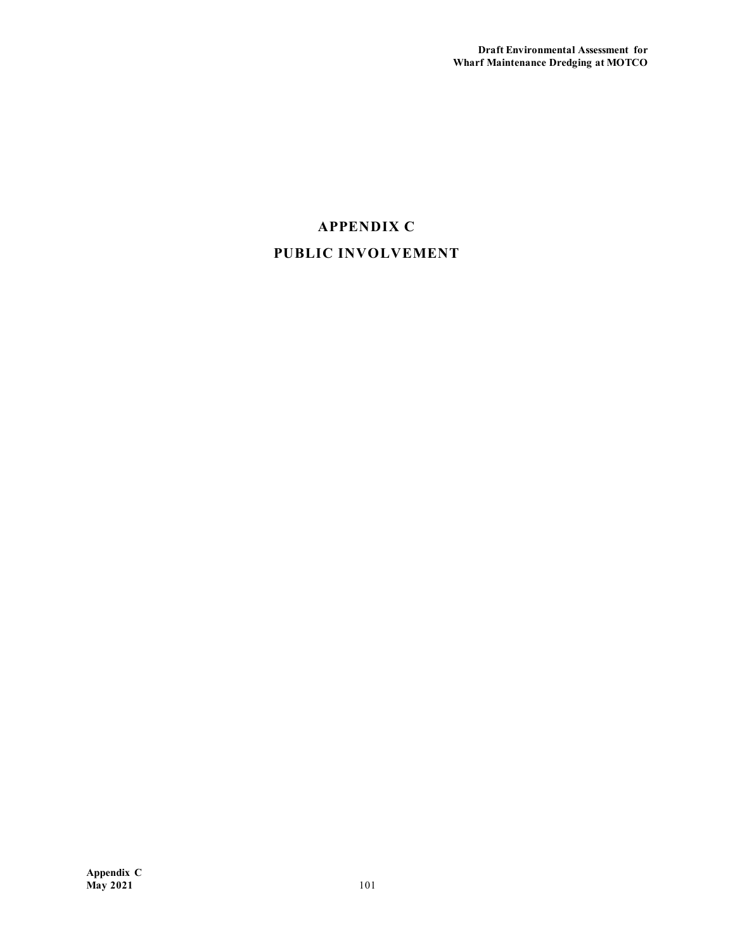## **APPENDIX C PUBLIC INVOLVEMENT**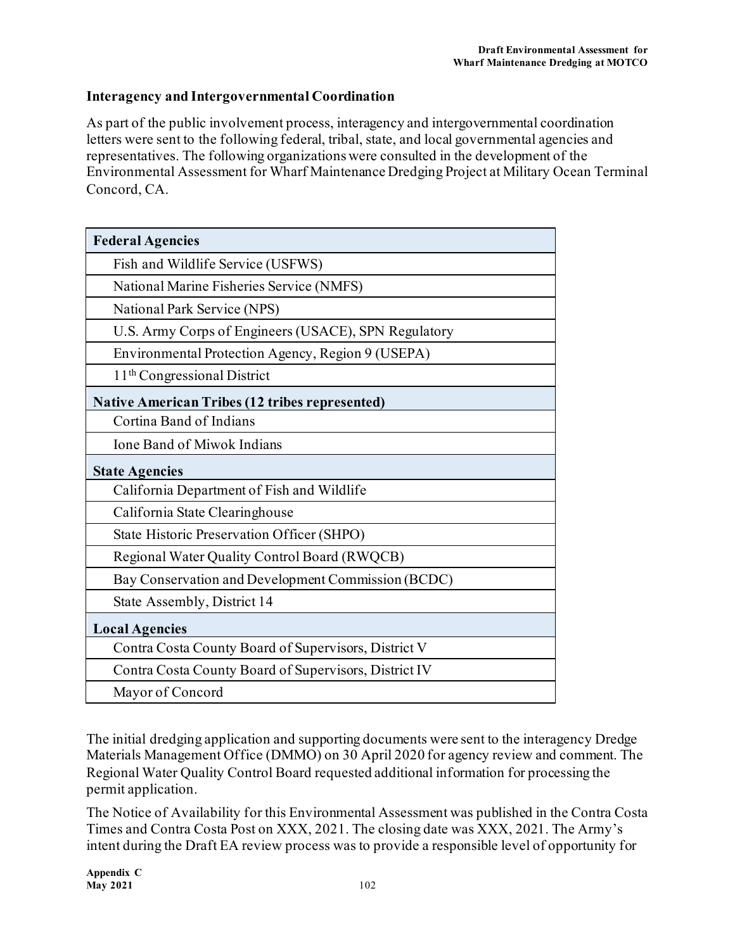## **Interagency and Intergovernmental Coordination**

As part of the public involvement process, interagency and intergovernmental coordination letters were sent to the following federal, tribal, state, and local governmental agencies and representatives. The following organizations were consulted in the development of the Environmental Assessment for Wharf Maintenance Dredging Project at Military Ocean Terminal Concord, CA.

| <b>Federal Agencies</b>                               |
|-------------------------------------------------------|
| Fish and Wildlife Service (USFWS)                     |
| National Marine Fisheries Service (NMFS)              |
| National Park Service (NPS)                           |
| U.S. Army Corps of Engineers (USACE), SPN Regulatory  |
| Environmental Protection Agency, Region 9 (USEPA)     |
| 11 <sup>th</sup> Congressional District               |
| <b>Native American Tribes (12 tribes represented)</b> |
| Cortina Band of Indians                               |
| <b>Ione Band of Miwok Indians</b>                     |
| <b>State Agencies</b>                                 |
| California Department of Fish and Wildlife            |
| California State Clearinghouse                        |
| State Historic Preservation Officer (SHPO)            |
| Regional Water Quality Control Board (RWQCB)          |
| Bay Conservation and Development Commission (BCDC)    |
| State Assembly, District 14                           |
| <b>Local Agencies</b>                                 |
| Contra Costa County Board of Supervisors, District V  |
| Contra Costa County Board of Supervisors, District IV |
| Mayor of Concord                                      |

The initial dredging application and supporting documents were sent to the interagency Dredge Materials Management Office (DMMO) on 30 April 2020 for agency review and comment. The Regional Water Quality Control Board requested additional information for processing the permit application.

The Notice of Availability for this Environmental Assessment was published in the Contra Costa Times and Contra Costa Post on XXX, 2021. The closing date was XXX, 2021. The Army's intent during the Draft EA review process was to provide a responsible level of opportunity for

**Appendix C May 2021** 102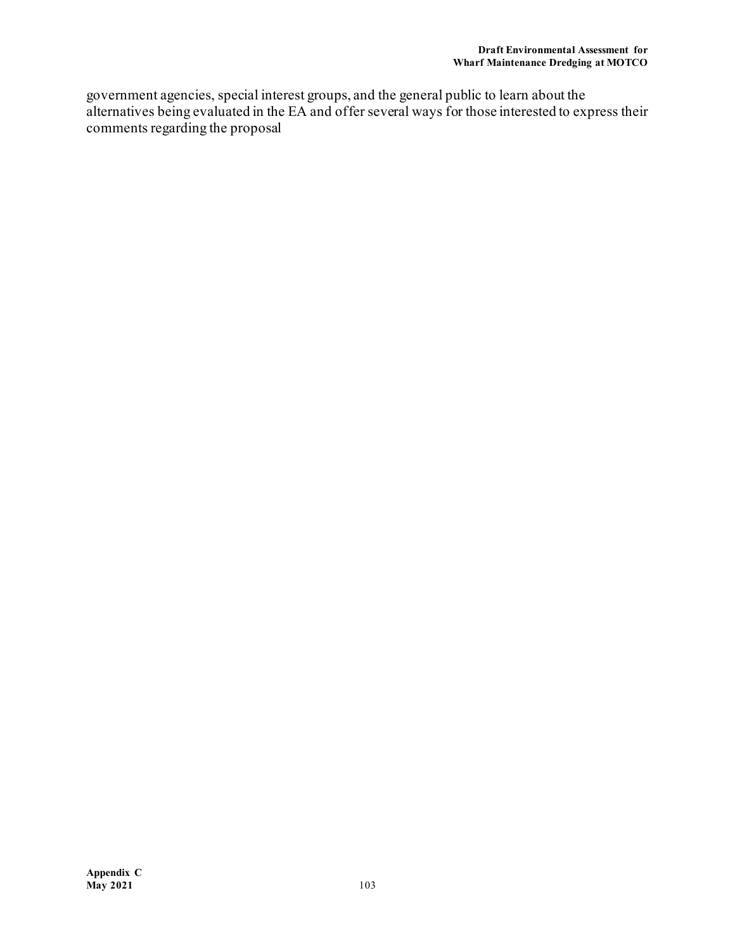government agencies, special interest groups, and the general public to learn about the alternatives being evaluated in the EA and offer several ways for those interested to express their comments regarding the proposal